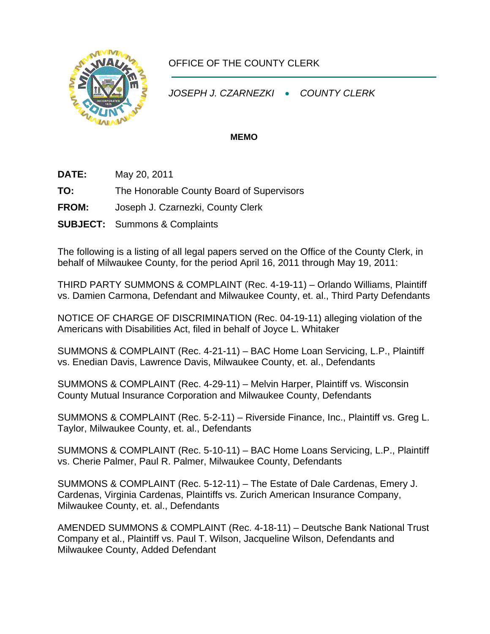

## OFFICE OF THE COUNTY CLERK

*JOSEPH J. CZARNEZKI* • *COUNTY CLERK* 

## **MEMO**

- **DATE:** May 20, 2011
- **TO:** The Honorable County Board of Supervisors
- **FROM:** Joseph J. Czarnezki, County Clerk
- **SUBJECT:** Summons & Complaints

The following is a listing of all legal papers served on the Office of the County Clerk, in behalf of Milwaukee County, for the period April 16, 2011 through May 19, 2011:

THIRD PARTY SUMMONS & COMPLAINT (Rec. 4-19-11) – Orlando Williams, Plaintiff vs. Damien Carmona, Defendant and Milwaukee County, et. al., Third Party Defendants

NOTICE OF CHARGE OF DISCRIMINATION (Rec. 04-19-11) alleging violation of the Americans with Disabilities Act, filed in behalf of Joyce L. Whitaker

SUMMONS & COMPLAINT (Rec. 4-21-11) – BAC Home Loan Servicing, L.P., Plaintiff vs. Enedian Davis, Lawrence Davis, Milwaukee County, et. al., Defendants

SUMMONS & COMPLAINT (Rec. 4-29-11) – Melvin Harper, Plaintiff vs. Wisconsin County Mutual Insurance Corporation and Milwaukee County, Defendants

SUMMONS & COMPLAINT (Rec. 5-2-11) – Riverside Finance, Inc., Plaintiff vs. Greg L. Taylor, Milwaukee County, et. al., Defendants

SUMMONS & COMPLAINT (Rec. 5-10-11) – BAC Home Loans Servicing, L.P., Plaintiff vs. Cherie Palmer, Paul R. Palmer, Milwaukee County, Defendants

SUMMONS & COMPLAINT (Rec. 5-12-11) – The Estate of Dale Cardenas, Emery J. Cardenas, Virginia Cardenas, Plaintiffs vs. Zurich American Insurance Company, Milwaukee County, et. al., Defendants

AMENDED SUMMONS & COMPLAINT (Rec. 4-18-11) – Deutsche Bank National Trust Company et al., Plaintiff vs. Paul T. Wilson, Jacqueline Wilson, Defendants and Milwaukee County, Added Defendant